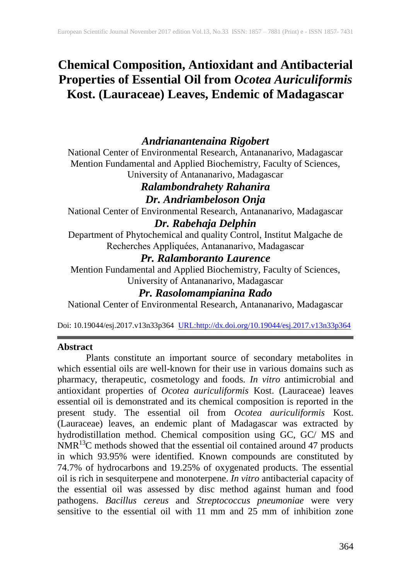# **Chemical Composition, Antioxidant and Antibacterial Properties of Essential Oil from** *Ocotea Auriculiformis*  **Kost. (Lauraceae) Leaves, Endemic of Madagascar**

## *Andrianantenaina Rigobert*

National Center of Environmental Research, Antananarivo, Madagascar Mention Fundamental and Applied Biochemistry, Faculty of Sciences, University of Antananarivo, Madagascar

## *Ralambondrahety Rahanira Dr. Andriambeloson Onja*

National Center of Environmental Research, Antananarivo, Madagascar *Dr. Rabehaja Delphin*

Department of Phytochemical and quality Control, Institut Malgache de Recherches Appliquées, Antananarivo, Madagascar

## *Pr. Ralamboranto Laurence*

Mention Fundamental and Applied Biochemistry, Faculty of Sciences, University of Antananarivo, Madagascar

## *Pr. Rasolomampianina Rado*

National Center of Environmental Research, Antananarivo, Madagascar

Doi: 10.19044/esj.2017.v13n33p364 [URL:http://dx.doi.org/10.19044/esj.2017.v13n33p364](http://dx.doi.org/10.19044/esj.2017.v13n33p364)

#### **Abstract**

Plants constitute an important source of secondary metabolites in which essential oils are well-known for their use in various domains such as pharmacy, therapeutic, cosmetology and foods. *In vitro* antimicrobial and antioxidant properties of *Ocotea auriculiformis* Kost. (Lauraceae) leaves essential oil is demonstrated and its chemical composition is reported in the present study. The essential oil from *Ocotea auriculiformis* Kost. (Lauraceae) leaves, an endemic plant of Madagascar was extracted by hydrodistillation method. Chemical composition using GC, GC/ MS and  $NMR<sup>13</sup>C$  methods showed that the essential oil contained around 47 products in which 93.95% were identified. Known compounds are constituted by 74.7% of hydrocarbons and 19.25% of oxygenated products. The essential oil is rich in sesquiterpene and monoterpene. *In vitro* antibacterial capacity of the essential oil was assessed by disc method against human and food pathogens. *Bacillus cereus* and *Streptococcus pneumoniae* were very sensitive to the essential oil with 11 mm and  $25 \text{ mm}$  of inhibition zone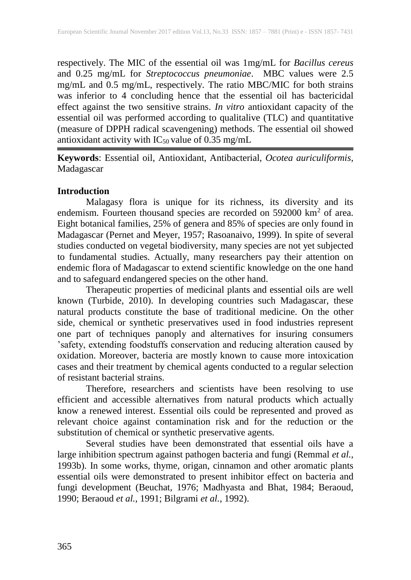respectively. The MIC of the essential oil was 1mg/mL for *Bacillus cereus* and 0.25 mg/mL for *Streptococcus pneumoniae*. MBC values were 2.5 mg/mL and 0.5 mg/mL, respectively. The ratio MBC/MIC for both strains was inferior to 4 concluding hence that the essential oil has bactericidal effect against the two sensitive strains. *In vitro* antioxidant capacity of the essential oil was performed according to qualitalive (TLC) and quantitative (measure of DPPH radical scavengening) methods. The essential oil showed antioxidant activity with  $IC_{50}$  value of 0.35 mg/mL

**Keywords**: Essential oil, Antioxidant, Antibacterial, *Ocotea auriculiformis*, Madagascar

## **Introduction**

Malagasy flora is unique for its richness, its diversity and its endemism. Fourteen thousand species are recorded on 592000 km<sup>2</sup> of area. Eight botanical families, 25% of genera and 85% of species are only found in Madagascar (Pernet and Meyer, 1957; Rasoanaivo, 1999). In spite of several studies conducted on vegetal biodiversity, many species are not yet subjected to fundamental studies. Actually, many researchers pay their attention on endemic flora of Madagascar to extend scientific knowledge on the one hand and to safeguard endangered species on the other hand.

Therapeutic properties of medicinal plants and essential oils are well known (Turbide, 2010). In developing countries such Madagascar, these natural products constitute the base of traditional medicine. On the other side, chemical or synthetic preservatives used in food industries represent one part of techniques panoply and alternatives for insuring consumers 'safety, extending foodstuffs conservation and reducing alteration caused by oxidation. Moreover, bacteria are mostly known to cause more intoxication cases and their treatment by chemical agents conducted to a regular selection of resistant bacterial strains.

Therefore, researchers and scientists have been resolving to use efficient and accessible alternatives from natural products which actually know a renewed interest. Essential oils could be represented and proved as relevant choice against contamination risk and for the reduction or the substitution of chemical or synthetic preservative agents.

Several studies have been demonstrated that essential oils have a large inhibition spectrum against pathogen bacteria and fungi (Remmal *et al.,* 1993b). In some works, thyme, origan, cinnamon and other aromatic plants essential oils were demonstrated to present inhibitor effect on bacteria and fungi development (Beuchat, 1976; Madhyasta and Bhat, 1984; Beraoud, 1990; Beraoud *et al.,* 1991; Bilgrami *et al.,* 1992).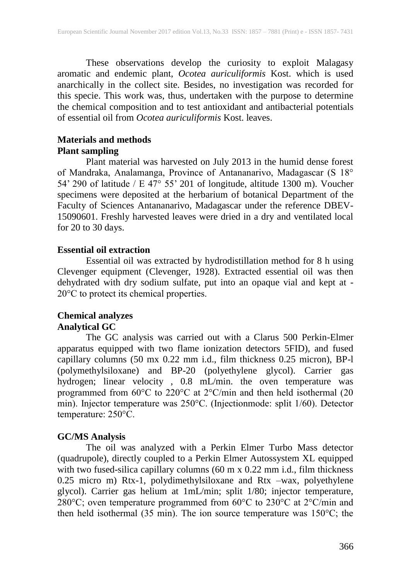These observations develop the curiosity to exploit Malagasy aromatic and endemic plant, *Ocotea auriculiformis* Kost. which is used anarchically in the collect site. Besides, no investigation was recorded for this specie. This work was, thus, undertaken with the purpose to determine the chemical composition and to test antioxidant and antibacterial potentials of essential oil from *Ocotea auriculiformis* Kost. leaves.

#### **Materials and methods Plant sampling**

Plant material was harvested on July 2013 in the humid dense forest of Mandraka, Analamanga, Province of Antananarivo, Madagascar (S 18° 54' 290 of latitude / E 47° 55' 201 of longitude, altitude 1300 m). Voucher specimens were deposited at the herbarium of botanical Department of the Faculty of Sciences Antananarivo, Madagascar under the reference DBEV-15090601. Freshly harvested leaves were dried in a dry and ventilated local for 20 to 30 days.

#### **Essential oil extraction**

Essential oil was extracted by hydrodistillation method for 8 h using Clevenger equipment (Clevenger, 1928). Extracted essential oil was then dehydrated with dry sodium sulfate, put into an opaque vial and kept at -20°C to protect its chemical properties.

### **Chemical analyzes Analytical GC**

The GC analysis was carried out with a Clarus 500 Perkin-Elmer apparatus equipped with two flame ionization detectors 5FID), and fused capillary columns (50 mx 0.22 mm i.d., film thickness 0.25 micron), BP-l (polymethylsiloxane) and BP-20 (polyethylene glycol). Carrier gas hydrogen; linear velocity , 0.8 mL/min. the oven temperature was programmed from 60°C to 220°C at 2°C/min and then held isothermal (20 min). Injector temperature was 250°C. (Injectionmode: split 1/60). Detector temperature: 250°C.

#### **GC/MS Analysis**

The oil was analyzed with a Perkin Elmer Turbo Mass detector (quadrupole), directly coupled to a Perkin Elmer Autossystem XL equipped with two fused-silica capillary columns (60 m x 0.22 mm i.d., film thickness 0.25 micro m) Rtx-1, polydimethylsiloxane and Rtx –wax, polyethylene glycol). Carrier gas helium at 1mL/min; split 1/80; injector temperature, 280°C; oven temperature programmed from 60°C to 230°C at 2°C/min and then held isothermal (35 min). The ion source temperature was 150°C; the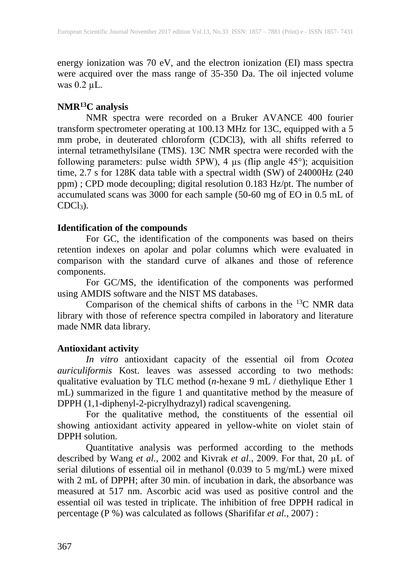energy ionization was 70 eV, and the electron ionization (EI) mass spectra were acquired over the mass range of 35-350 Da. The oil injected volume was  $0.2 \mu L$ .

### **NMR<sup>13</sup>C analysis**

NMR spectra were recorded on a Bruker AVANCE 400 fourier transform spectrometer operating at 100.13 MHz for 13C, equipped with a 5 mm probe, in deuterated chloroform (CDCl3), with all shifts referred to internal tetramethylsilane (TMS). 13C NMR spectra were recorded with the following parameters: pulse width  $5PW$ , 4  $\mu$ s (flip angle 45°); acquisition time, 2.7 s for 128K data table with a spectral width (SW) of 24000Hz (240 ppm) ; CPD mode decoupling; digital resolution 0.183 Hz/pt. The number of accumulated scans was 3000 for each sample (50-60 mg of EO in 0.5 mL of  $CDCl<sub>3</sub>$ ).

### **Identification of the compounds**

For GC, the identification of the components was based on theirs retention indexes on apolar and polar columns which were evaluated in comparison with the standard curve of alkanes and those of reference components.

For GC/MS, the identification of the components was performed using AMDIS software and the NIST MS databases.

Comparison of the chemical shifts of carbons in the  $^{13}$ C NMR data library with those of reference spectra compiled in laboratory and literature made NMR data library.

## **Antioxidant activity**

*In vitro* antioxidant capacity of the essential oil from *Ocotea auriculiformis* Kost. leaves was assessed according to two methods: qualitative evaluation by TLC method (*n*-hexane 9 mL / diethylique Ether 1 mL) summarized in the figure 1 and quantitative method by the measure of DPPH (1,1-diphenyl-2-picrylhydrazyl) radical scavengening.

For the qualitative method, the constituents of the essential oil showing antioxidant activity appeared in yellow-white on violet stain of DPPH solution.

Quantitative analysis was performed according to the methods described by Wang *et al.,* 2002 and Kivrak *et al*., 2009. For that, 20 µL of serial dilutions of essential oil in methanol (0.039 to 5 mg/mL) were mixed with 2 mL of DPPH; after 30 min. of incubation in dark, the absorbance was measured at 517 nm. Ascorbic acid was used as positive control and the essential oil was tested in triplicate. The inhibition of free DPPH radical in percentage (P %) was calculated as follows (Sharififar *et al.,* 2007) :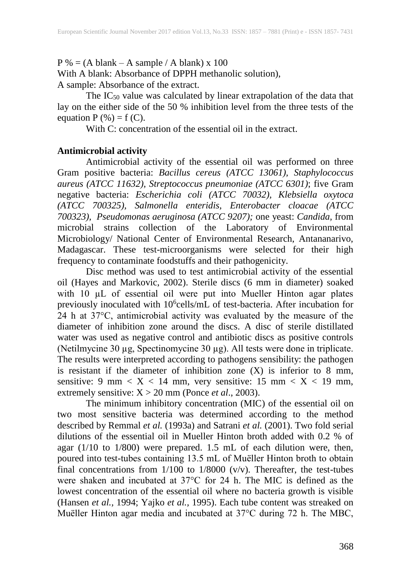$P$ % = (A blank – A sample / A blank) x 100

With A blank: Absorbance of DPPH methanolic solution), A sample: Absorbance of the extract.

The  $IC_{50}$  value was calculated by linear extrapolation of the data that lay on the either side of the 50 % inhibition level from the three tests of the equation  $P$  (%) = f (C).

With C: concentration of the essential oil in the extract.

#### **Antimicrobial activity**

Antimicrobial activity of the essential oil was performed on three Gram positive bacteria: *Bacillus cereus (ATCC 13061), Staphylococcus aureus (ATCC 11632), Streptococcus pneumoniae (ATCC 6301)*; five Gram negative bacteria: *Escherichia coli (ATCC 70032), Klebsiella oxytoca (ATCC 700325), Salmonella enteridis, Enterobacter cloacae (ATCC 700323), Pseudomonas aeruginosa (ATCC 9207);* one yeast: *Candida,* from microbial strains collection of the Laboratory of Environmental Microbiology/ National Center of Environmental Research, Antananarivo, Madagascar. These test-microorganisms were selected for their high frequency to contaminate foodstuffs and their pathogenicity.

Disc method was used to test antimicrobial activity of the essential oil (Hayes and Markovic, 2002). Sterile discs (6 mm in diameter) soaked with 10 µL of essential oil were put into Mueller Hinton agar plates previously inoculated with 10<sup>6</sup>cells/mL of test-bacteria. After incubation for 24 h at 37°C, antimicrobial activity was evaluated by the measure of the diameter of inhibition zone around the discs. A disc of sterile distillated water was used as negative control and antibiotic discs as positive controls (Netilmycine 30 µg, Spectinomycine 30 µg). All tests were done in triplicate. The results were interpreted according to pathogens sensibility: the pathogen is resistant if the diameter of inhibition zone  $(X)$  is inferior to 8 mm, sensitive: 9 mm  $\langle X \rangle$  14 mm, very sensitive: 15 mm  $\langle X \rangle$  19 mm, extremely sensitive: X > 20 mm (Ponce *et al*., 2003).

The minimum inhibitory concentration (MIC) of the essential oil on two most sensitive bacteria was determined according to the method described by Remmal *et al.* (1993a) and Satrani *et al.* (2001). Two fold serial dilutions of the essential oil in Mueller Hinton broth added with 0.2 % of agar (1/10 to 1/800) were prepared. 1.5 mL of each dilution were, then, poured into test-tubes containing 13.5 mL of Muëller Hinton broth to obtain final concentrations from  $1/100$  to  $1/8000$  (v/v). Thereafter, the test-tubes were shaken and incubated at 37°C for 24 h. The MIC is defined as the lowest concentration of the essential oil where no bacteria growth is visible (Hansen *et al.,* 1994; Yajko *et al.,* 1995). Each tube content was streaked on Muëller Hinton agar media and incubated at 37°C during 72 h. The MBC,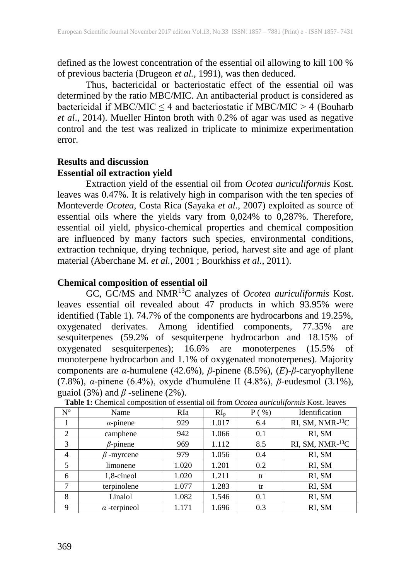defined as the lowest concentration of the essential oil allowing to kill 100 % of previous bacteria (Drugeon *et al.,* 1991), was then deduced.

Thus, bactericidal or bacteriostatic effect of the essential oil was determined by the ratio MBC/MIC. An antibacterial product is considered as bactericidal if MBC/MIC  $\leq$  4 and bacteriostatic if MBC/MIC  $>$  4 (Bouharb *et al*., 2014). Mueller Hinton broth with 0.2% of agar was used as negative control and the test was realized in triplicate to minimize experimentation error.

### **Results and discussion Essential oil extraction yield**

Extraction yield of the essential oil from *Ocotea auriculiformis* Kost*.*  leaves was 0.47%. It is relatively high in comparison with the ten species of Monteverde *Ocotea*, Costa Rica (Sayaka *et al.*, 2007) exploited as source of essential oils where the yields vary from 0,024% to 0,287%. Therefore, essential oil yield, physico-chemical properties and chemical composition are influenced by many factors such species, environmental conditions, extraction technique, drying technique, period, harvest site and age of plant material (Aberchane M. *et al.*, 2001 ; Bourkhiss *et al.*, 2011).

#### **Chemical composition of essential oil**

GC, GC/MS and NMR<sup>13</sup>C analyzes of *Ocotea auriculiformis* Kost. leaves essential oil revealed about 47 products in which 93.95% were identified (Table 1). 74.7% of the components are hydrocarbons and 19.25%, oxygenated derivates. Among identified components, 77.35% are sesquiterpenes (59.2% of sesquiterpene hydrocarbon and 18.15% of oxygenated sesquiterpenes); 16.6% are monoterpenes (15.5% of monoterpene hydrocarbon and 1.1% of oxygenated monoterpenes). Majority components are *α*-humulene (42.6%), *β*-pinene (8.5%), (*E*)-*β*-caryophyllene (7.8%), *α*-pinene (6.4%), oxyde d'humulène II (4.8%), *β*-eudesmol (3.1%), guaiol (3%) and  $\beta$  -selinene (2%).

| $N^{\circ}$    | Name                | <b>RIa</b> | RI <sub>p</sub> | $P(w_0)$ | Identification                  |
|----------------|---------------------|------------|-----------------|----------|---------------------------------|
|                | $\alpha$ -pinene    | 929        | 1.017           | 6.4      | RI, SM, NMR $-$ <sup>13</sup> C |
| 2              | camphene            | 942        | 1.066           | 0.1      | RI, SM                          |
| 3              | $\beta$ -pinene     | 969        | 1.112           | 8.5      | RI, SM, NMR-13C                 |
| $\overline{4}$ | -myrcene            | 979        | 1.056           | 0.4      | RI, SM                          |
| 5              | limonene            | 1.020      | 1.201           | 0.2      | RI, SM                          |
| 6              | 1,8-cineol          | 1.020      | 1.211           | tr       | RI, SM                          |
| 7              | terpinolene         | 1.077      | 1.283           | tr       | RI, SM                          |
| 8              | Linalol             | 1.082      | 1.546           | 0.1      | RI, SM                          |
| 9              | $\alpha$ -terpineol | 1.171      | 1.696           | 0.3      | RI, SM                          |

**Table 1:** Chemical composition of essential oil from *Ocotea auriculiformis* Kost. leaves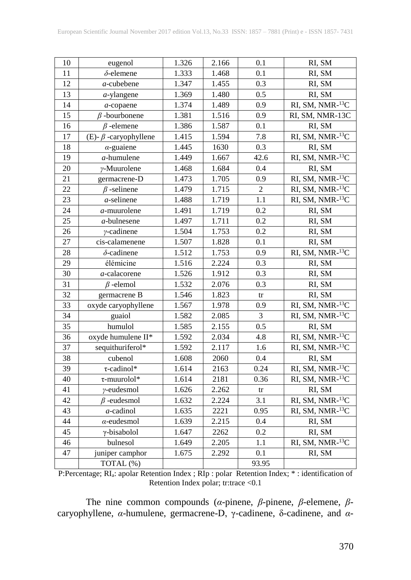| 10 | eugenol                     | 1.326 | 2.166              | 0.1              | RI, SM          |
|----|-----------------------------|-------|--------------------|------------------|-----------------|
| 11 | $\delta$ -elemene           | 1.333 | 1.468              | 0.1              | RI, SM          |
| 12 | $a$ -cubebene               | 1.347 | 1.455              | 0.3              | RI, SM          |
| 13 | $a$ -ylangene               | 1.369 | 1.480              | $\overline{0.5}$ | RI, SM          |
| 14 | $a$ -copaene                | 1.374 | 1.489              | 0.9              | RI, SM, NMR-13C |
| 15 | $\beta$ -bourbonene         | 1.381 | 1.516              | 0.9              | RI, SM, NMR-13C |
| 16 | $\beta$ -elemene            | 1.386 | 1.587              | 0.1              | RI, SM          |
| 17 | (E)- $\beta$ -caryophyllene | 1.415 | 1.594              | $7.8\,$          | RI, SM, NMR-13C |
| 18 | $\alpha$ -guaiene           | 1.445 | 1630               | 0.3              | RI, SM          |
| 19 | $a$ -humulene               | 1.449 | 1.667              | 42.6             | RI, SM, NMR-13C |
| 20 | $\gamma$ -Muurolene         | 1.468 | 1.684              | 0.4              | RI, SM          |
| 21 | germacrene-D                | 1.473 | 1.705              | 0.9              | RI, SM, NMR-13C |
| 22 | $\beta$ -selinene           | 1.479 | 1.715              | $\overline{2}$   | RI, SM, NMR-13C |
| 23 | $a$ -selinene               | 1.488 | 1.719              | 1.1              | RI, SM, NMR-13C |
| 24 | $a$ -muurolene              | 1.491 | 1.719              | 0.2              | RI, SM          |
| 25 | $a$ -bulnesene              | 1.497 | 1.711              | 0.2              | RI, SM          |
| 26 | $\gamma$ -cadinene          | 1.504 | 1.753              | 0.2              | RI, SM          |
| 27 | cis-calamenene              | 1.507 | 1.828              | 0.1              | RI, SM          |
| 28 | $\delta$ -cadinene          | 1.512 | $\overline{1.753}$ | 0.9              | RI, SM, NMR-13C |
| 29 | élémicine                   | 1.516 | 2.224              | 0.3              | RI, SM          |
| 30 | a-calacorene                | 1.526 | 1.912              | 0.3              | RI, SM          |
| 31 | $\beta$ -elemol             | 1.532 | 2.076              | 0.3              | RI, SM          |
| 32 | germacrene B                | 1.546 | 1.823              | tr               | RI, SM          |
| 33 | oxyde caryophyllene         | 1.567 | 1.978              | 0.9              | RI, SM, NMR-13C |
| 34 | guaiol                      | 1.582 | 2.085              | 3                | RI, SM, NMR-13C |
| 35 | humulol                     | 1.585 | 2.155              | 0.5              | RI, SM          |
| 36 | oxyde humulene II*          | 1.592 | 2.034              | 4.8              | RI, SM, NMR-13C |
| 37 | sequithuriferol*            | 1.592 | 2.117              | 1.6              | RI, SM, NMR-13C |
| 38 | cubenol                     | 1.608 | 2060               | 0.4              | RI, SM          |
| 39 | $\tau$ -cadinol*            | 1.614 | 2163               | 0.24             | RI, SM, NMR-13C |
| 40 | $\tau$ -muurolol*           | 1.614 | 2181               | 0.36             | RI, SM, NMR-13C |
| 41 | $\gamma$ -eudesmol          | 1.626 | 2.262              | tr               | RI, SM          |
| 42 | $\beta$ -eudesmol           | 1.632 | 2.224              | 3.1              | RI, SM, NMR-13C |
| 43 | $a$ -cadinol                | 1.635 | 2221               | 0.95             | RI, SM, NMR-13C |
| 44 | $\alpha$ -eudesmol          | 1.639 | 2.215              | 0.4              | RI, SM          |
| 45 | $\gamma$ -bisabolol         | 1.647 | 2262               | 0.2              | RI, SM          |
| 46 | bulnesol                    | 1.649 | 2.205              | 1.1              | RI, SM, NMR-13C |
| 47 | juniper camphor             | 1.675 | 2.292              | 0.1              | RI, SM          |
|    | TOTAL (%)                   |       |                    | 93.95            |                 |

P:Percentage; RIa: apolar Retention Index ; RIp : polar Retention Index; \* : identification of Retention Index polar; tr:trace <0.1

The nine common compounds (*α*-pinene, *β*-pinene, *β*-elemene, *β*caryophyllene, *α*-humulene, germacrene-D, γ-cadinene, δ-cadinene, and *α*-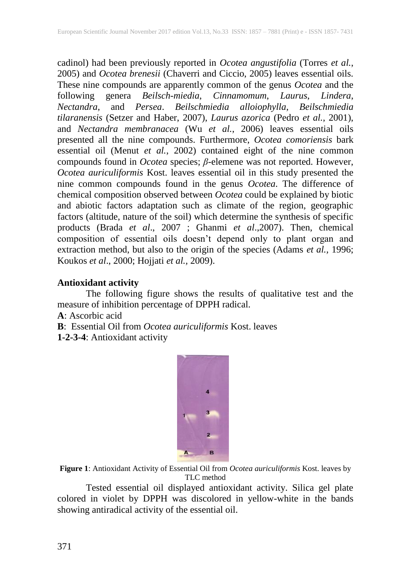cadinol) had been previously reported in *Ocotea angustifolia* (Torres *et al.*, 2005) and *Ocotea brenesii* (Chaverri and Ciccio, 2005) leaves essential oils. These nine compounds are apparently common of the genus *Ocotea* and the following genera *Beilsch-miedia*, *Cinnamomum*, *Laurus*, *Lindera*, *Nectandra*, and *Persea*. *Beilschmiedia alloiophylla*, *Beilschmiedia tilaranensis* (Setzer and Haber, 2007), *Laurus azorica* (Pedro *et al.*, 2001), and *Nectandra membranacea* (Wu *et al.*, 2006) leaves essential oils presented all the nine compounds. Furthermore, *Ocotea comoriensis* bark essential oil (Menut *et al.*, 2002) contained eight of the nine common compounds found in *Ocotea* species; *β*-elemene was not reported. However, *Ocotea auriculiformis* Kost. leaves essential oil in this study presented the nine common compounds found in the genus *Ocotea*. The difference of chemical composition observed between *Ocotea* could be explained by biotic and abiotic factors adaptation such as climate of the region, geographic factors (altitude, nature of the soil) which determine the synthesis of specific products (Brada *et al*., 2007 ; Ghanmi *et al*.,2007). Then, chemical composition of essential oils doesn't depend only to plant organ and extraction method, but also to the origin of the species (Adams *et al.,* 1996; Koukos *et al*., 2000; Hojjati *et al.,* 2009).

#### **Antioxidant activity**

The following figure shows the results of qualitative test and the measure of inhibition percentage of DPPH radical.

**A**: Ascorbic acid

**B**: Essential Oil from *Ocotea auriculiformis* Kost. leaves

**1-2-3-4**: Antioxidant activity



**Figure 1**: Antioxidant Activity of Essential Oil from *Ocotea auriculiformis* Kost. leaves by TLC method

Tested essential oil displayed antioxidant activity. Silica gel plate colored in violet by DPPH was discolored in yellow-white in the bands showing antiradical activity of the essential oil.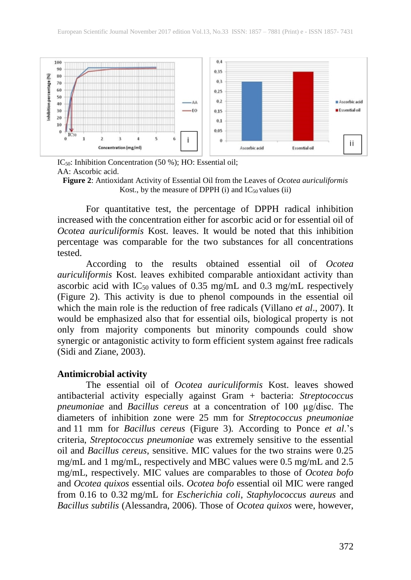

IC<sub>50</sub>: Inhibition Concentration (50 %); HO: Essential oil; AA: Ascorbic acid.

For quantitative test, the percentage of DPPH radical inhibition increased with the concentration either for ascorbic acid or for essential oil of *Ocotea auriculiformis* Kost. leaves. It would be noted that this inhibition percentage was comparable for the two substances for all concentrations tested.

According to the results obtained essential oil of *Ocotea auriculiformis* Kost. leaves exhibited comparable antioxidant activity than ascorbic acid with  $IC_{50}$  values of 0.35 mg/mL and 0.3 mg/mL respectively (Figure 2). This activity is due to phenol compounds in the essential oil which the main role is the reduction of free radicals (Villano *et al.*, 2007). It would be emphasized also that for essential oils, biological property is not only from majority components but minority compounds could show synergic or antagonistic activity to form efficient system against free radicals (Sidi and Ziane, 2003).

#### **Antimicrobial activity**

The essential oil of *Ocotea auriculiformis* Kost. leaves showed antibacterial activity especially against Gram + bacteria: *Streptococcus pneumoniae* and *Bacillus cereus* at a concentration of 100 µg/disc. The diameters of inhibition zone were 25 mm for *Streptococcus pneumoniae* and 11 mm for *Bacillus cereus* (Figure 3)*.* According to Ponce *et al*.'s criteria, *Streptococcus pneumoniae* was extremely sensitive to the essential oil and *Bacillus cereus*, sensitive. MIC values for the two strains were 0.25 mg/mL and 1 mg/mL, respectively and MBC values were 0.5 mg/mL and 2.5 mg/mL, respectively. MIC values are comparables to those of *Ocotea bofo* and *Ocotea quixos* essential oils. *Ocotea bofo* essential oil MIC were ranged from 0.16 to 0.32 mg/mL for *Escherichia coli*, *Staphylococcus aureus* and *Bacillus subtilis* (Alessandra, 2006). Those of *Ocotea quixos* were, however,

**Figure 2**: Antioxidant Activity of Essential Oil from the Leaves of *Ocotea auriculiformis* Kost., by the measure of DPPH (i) and  $IC_{50}$  values (ii)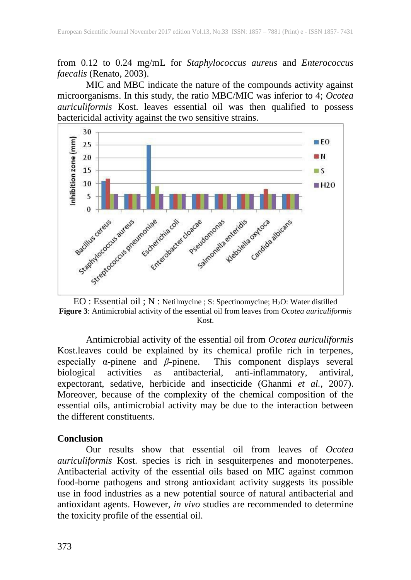from 0.12 to 0.24 mg/mL for *Staphylococcus aureus* and *Enterococcus faecalis* (Renato, 2003).

MIC and MBC indicate the nature of the compounds activity against microorganisms. In this study, the ratio MBC/MIC was inferior to 4; *Ocotea auriculiformis* Kost. leaves essential oil was then qualified to possess bactericidal activity against the two sensitive strains.



EO : Essential oil ; N : Netilmycine ; S: Spectinomycine; H2O: Water distilled **Figure 3**: Antimicrobial activity of the essential oil from leaves from *Ocotea auriculiformis* Kost.

Antimicrobial activity of the essential oil from *Ocotea auriculiformis* Kost.leaves could be explained by its chemical profile rich in terpenes, especially  $\alpha$ -pinene and  $\beta$ -pinene. This component displays several biological activities as antibacterial, anti-inflammatory, antiviral, as antibacterial, anti-inflammatory, antiviral, expectorant, sedative, herbicide and insecticide (Ghanmi *et al.,* 2007). Moreover, because of the complexity of the chemical composition of the essential oils, antimicrobial activity may be due to the interaction between the different constituents.

#### **Conclusion**

Our results show that essential oil from leaves of *Ocotea auriculiformis* Kost. species is rich in sesquiterpenes and monoterpenes. Antibacterial activity of the essential oils based on MIC against common food-borne pathogens and strong antioxidant activity suggests its possible use in food industries as a new potential source of natural antibacterial and antioxidant agents. However, *in vivo* studies are recommended to determine the toxicity profile of the essential oil.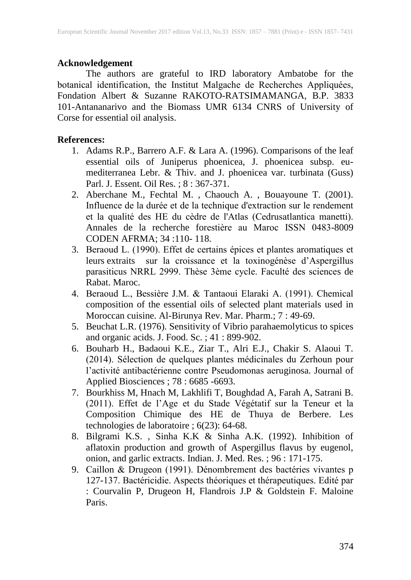#### **Acknowledgement**

The authors are grateful to IRD laboratory Ambatobe for the botanical identification, the Institut Malgache de Recherches Appliquées, Fondation Albert & Suzanne RAKOTO-RATSIMAMANGA, B.P. 3833 101-Antananarivo and the Biomass UMR 6134 CNRS of University of Corse for essential oil analysis.

#### **References:**

- 1. Adams R.P., Barrero A.F. & Lara A. (1996). Comparisons of the leaf essential oils of Juniperus phoenicea, J. phoenicea subsp. eumediterranea Lebr. & Thiv. and J. phoenicea var. turbinata (Guss) Parl. J. Essent. Oil Res. ; 8 : 367-371.
- 2. Aberchane M., Fechtal M. , Chaouch A. , Bouayoune T. (2001). Influence de la durée et de la technique d'extraction sur le rendement et la qualité des HE du cèdre de l'Atlas (Cedrusatlantica manetti). Annales de la recherche forestière au Maroc ISSN 0483-8009 CODEN AFRMA; 34 :110- 118.
- 3. Beraoud L. (1990). Effet de certains épices et plantes aromatiques et leurs extraits sur la croissance et la toxinogénèse d'Aspergillus parasiticus NRRL 2999. Thèse 3ème cycle. Faculté des sciences de Rabat. Maroc.
- 4. Beraoud L., Bessière J.M. & Tantaoui Elaraki A. (1991). Chemical composition of the essential oils of selected plant materials used in Moroccan cuisine. Al-Birunya Rev. Mar. Pharm.; 7 : 49-69.
- 5. Beuchat L.R. (1976). Sensitivity of Vibrio parahaemolyticus to spices and organic acids. J. Food. Sc. ; 41 : 899-902.
- 6. Bouharb H., Badaoui K.E., Ziar T., Alri E.J., Chakir S. Alaoui T. (2014). Sélection de quelques plantes médicinales du Zerhoun pour l'activité antibactérienne contre Pseudomonas aeruginosa. Journal of Applied Biosciences ; 78 : 6685 -6693.
- 7. Bourkhiss M, Hnach M, Lakhlifi T, Boughdad A, Farah A, Satrani B. (2011). Effet de l'Age et du Stade Végétatif sur la Teneur et la Composition Chimique des HE de Thuya de Berbere. Les technologies de laboratoire ; 6(23): 64-68.
- 8. Bilgrami K.S. , Sinha K.K & Sinha A.K. (1992). Inhibition of aflatoxin production and growth of Aspergillus flavus by eugenol, onion, and garlic extracts. Indian. J. Med. Res. ; 96 : 171-175.
- 9. Caillon & Drugeon (1991). Dénombrement des bactéries vivantes p 127-137. Bactéricidie. Aspects théoriques et thérapeutiques. Edité par : Courvalin P, Drugeon H, Flandrois J.P & Goldstein F. Maloine Paris.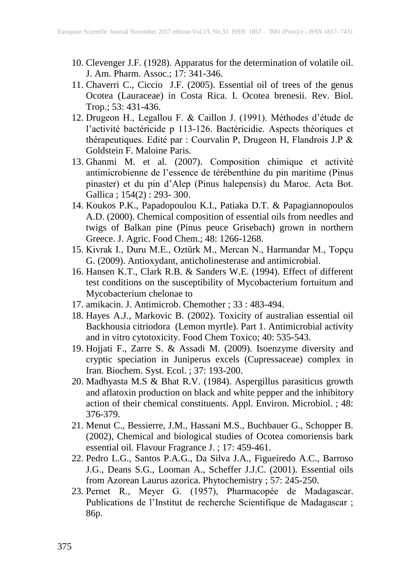- 10. Clevenger J.F. (1928). Apparatus for the determination of volatile oil. J. Am. Pharm. Assoc.; 17: 341-346.
- 11. Chaverri C., Ciccio J.F. (2005). Essential oil of trees of the genus Ocotea (Lauraceae) in Costa Rica. I. Ocotea brenesii. Rev. Biol. Trop.; 53: 431-436.
- 12. Drugeon H., Legallou F. & Caillon J. (1991). Méthodes d'étude de l'activité bactéricide p 113-126. Bactéricidie. Aspects théoriques et thérapeutiques. Edité par : Courvalin P, Drugeon H, Flandrois J.P & Goldstein F. Maloine Paris.
- 13. Ghanmi M. et al. (2007). Composition chimique et activité antimicrobienne de l'essence de térébenthine du pin maritime (Pinus pinaster) et du pin d'Alep (Pinus halepensis) du Maroc. Acta Bot. Gallica ; 154(2) : 293- 300.
- 14. Koukos P.K., Papadopoulou K.I., Patiaka D.T. & Papagiannopoulos A.D. (2000). Chemical composition of essential oils from needles and twigs of Balkan pine (Pinus peuce Grisebach) grown in northern Greece. J. Agric. Food Chem.; 48: 1266-1268.
- 15. Kivrak I., Duru M.E., Oztürk M., Mercan N., Harmandar M., Topçu G. (2009). Antioxydant, anticholinesterase and antimicrobial.
- 16. Hansen K.T., Clark R.B. & Sanders W.E. (1994). Effect of different test conditions on the susceptibility of Mycobacterium fortuitum and Mycobacterium chelonae to
- 17. amikacin. J. Antimicrob. Chemother ; 33 : 483-494.
- 18. Hayes A.J., Markovic B. (2002). Toxicity of australian essential oil Backhousia citriodora (Lemon myrtle). Part 1. Antimicrobial activity and in vitro cytotoxicity. Food Chem Toxico; 40: 535-543.
- 19. Hojjati F., Zarre S. & Assadi M. (2009). Isoenzyme diversity and cryptic speciation in Juniperus excels (Cupressaceae) complex in Iran. Biochem. Syst. Ecol. ; 37: 193-200.
- 20. Madhyasta M.S & Bhat R.V. (1984). Aspergillus parasiticus growth and aflatoxin production on black and white pepper and the inhibitory action of their chemical constituents. Appl. Environ. Microbiol. ; 48: 376-379.
- 21. Menut C., Bessierre, J.M., Hassani M.S., Buchbauer G., Schopper B. (2002), Chemical and biological studies of Ocotea comoriensis bark essential oil. Flavour Fragrance J. ; 17: 459-461.
- 22. Pedro L.G., Santos P.A.G., Da Silva J.A., Figueiredo A.C., Barroso J.G., Deans S.G., Looman A., Scheffer J.J.C. (2001). Essential oils from Azorean Laurus azorica. Phytochemistry ; 57: 245-250.
- 23. Pernet R., Meyer G. (1957), Pharmacopée de Madagascar. Publications de l'Institut de recherche Scientifique de Madagascar ; 86p.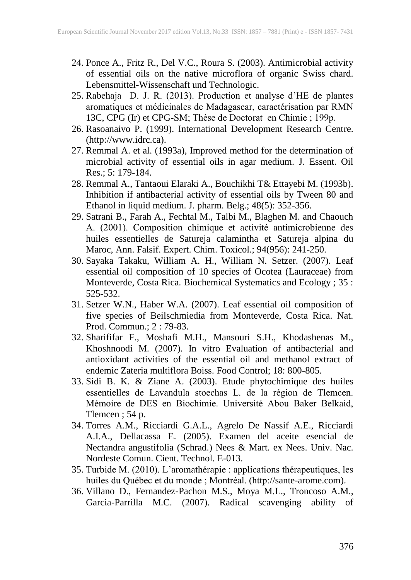- 24. Ponce A., Fritz R., Del V.C., Roura S. (2003). Antimicrobial activity of essential oils on the native microflora of organic Swiss chard. Lebensmittel-Wissenschaft und Technologic.
- 25. Rabehaja D. J. R. (2013). Production et analyse d'HE de plantes aromatiques et médicinales de Madagascar, caractérisation par RMN 13C, CPG (Ir) et CPG-SM; Thèse de Doctorat en Chimie ; 199p.
- 26. Rasoanaivo P. (1999). International Development Research Centre. (http://www.idrc.ca).
- 27. Remmal A. et al. (1993a), Improved method for the determination of microbial activity of essential oils in agar medium. J. Essent. Oil Res.; 5: 179-184.
- 28. Remmal A., Tantaoui Elaraki A., Bouchikhi T& Ettayebi M. (1993b). Inhibition if antibacterial activity of essential oils by Tween 80 and Ethanol in liquid medium. J. pharm. Belg.; 48(5): 352-356.
- 29. Satrani B., Farah A., Fechtal M., Talbi M., Blaghen M. and Chaouch A. (2001). Composition chimique et activité antimicrobienne des huiles essentielles de Satureja calamintha et Satureja alpina du Maroc, Ann. Falsif. Expert. Chim. Toxicol.; 94(956): 241-250.
- 30. Sayaka Takaku, William A. H., William N. Setzer. (2007). Leaf essential oil composition of 10 species of Ocotea (Lauraceae) from Monteverde, Costa Rica. Biochemical Systematics and Ecology ; 35 : 525-532.
- 31. Setzer W.N., Haber W.A. (2007). Leaf essential oil composition of five species of Beilschmiedia from Monteverde, Costa Rica. Nat. Prod. Commun.; 2 : 79-83.
- 32. Sharififar F., Moshafi M.H., Mansouri S.H., Khodashenas M., Khoshnoodi M. (2007). In vitro Evaluation of antibacterial and antioxidant activities of the essential oil and methanol extract of endemic Zateria multiflora Boiss. Food Control; 18: 800-805.
- 33. Sidi B. K. & Ziane A. (2003). Etude phytochimique des huiles essentielles de Lavandula stoechas L. de la région de Tlemcen. Mémoire de DES en Biochimie. Université Abou Baker Belkaid, Tlemcen ; 54 p.
- 34. Torres A.M., Ricciardi G.A.L., Agrelo De Nassif A.E., Ricciardi A.I.A., Dellacassa E. (2005). Examen del aceite esencial de Nectandra angustifolia (Schrad.) Nees & Mart. ex Nees. Univ. Nac. Nordeste Comun. Cient. Technol. E-013.
- 35. Turbide M. (2010). L'aromathérapie : applications thérapeutiques, les huiles du Québec et du monde ; Montréal. (http://sante-arome.com).
- 36. Villano D., Fernandez-Pachon M.S., Moya M.L., Troncoso A.M., Garcia-Parrilla M.C. (2007). Radical scavenging ability of